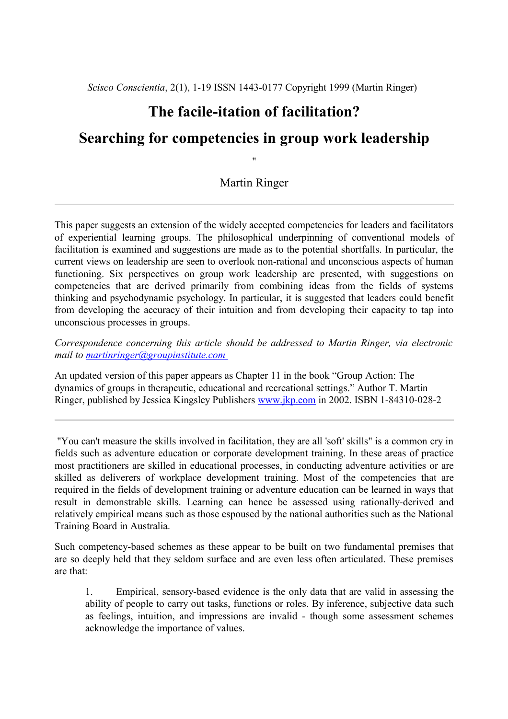*Scisco Conscientia*, 2(1), 1-19 ISSN 1443-0177 Copyright 1999 (Martin Ringer)

# **The facile-itation of facilitation?**

# **Searching for competencies in group work leadership**

# Martin Ringer

"

This paper suggests an extension of the widely accepted competencies for leaders and facilitators of experiential learning groups. The philosophical underpinning of conventional models of facilitation is examined and suggestions are made as to the potential shortfalls. In particular, the current views on leadership are seen to overlook non-rational and unconscious aspects of human functioning. Six perspectives on group work leadership are presented, with suggestions on competencies that are derived primarily from combining ideas from the fields of systems thinking and psychodynamic psychology. In particular, it is suggested that leaders could benefit from developing the accuracy of their intuition and from developing their capacity to tap into unconscious processes in groups.

*Correspondence concerning this article should be addressed to Martin Ringer, via electronic mail to [martinringer@groupinstitute.com](mailto:martinringer@groupinstitute.com)*

An updated version of this paper appears as Chapter 11 in the book "Group Action: The dynamics of groups in therapeutic, educational and recreational settings." Author T. Martin Ringer, published by Jessica Kingsley Publishers [www.jkp.com](http://www.jkp.com/) in 2002. ISBN 1-84310-028-2

"You can't measure the skills involved in facilitation, they are all 'soft' skills" is a common cry in fields such as adventure education or corporate development training. In these areas of practice most practitioners are skilled in educational processes, in conducting adventure activities or are skilled as deliverers of workplace development training. Most of the competencies that are required in the fields of development training or adventure education can be learned in ways that result in demonstrable skills. Learning can hence be assessed using rationally-derived and relatively empirical means such as those espoused by the national authorities such as the National Training Board in Australia.

Such competency-based schemes as these appear to be built on two fundamental premises that are so deeply held that they seldom surface and are even less often articulated. These premises are that:

1. Empirical, sensory-based evidence is the only data that are valid in assessing the ability of people to carry out tasks, functions or roles. By inference, subjective data such as feelings, intuition, and impressions are invalid - though some assessment schemes acknowledge the importance of values.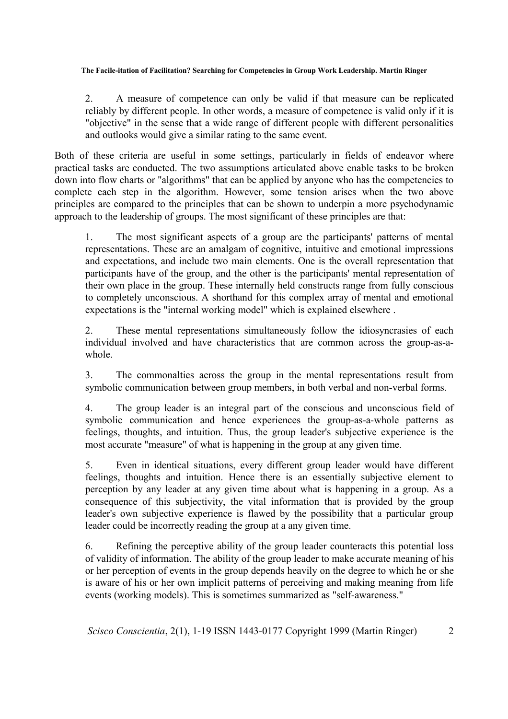2. A measure of competence can only be valid if that measure can be replicated reliably by different people. In other words, a measure of competence is valid only if it is "objective" in the sense that a wide range of different people with different personalities and outlooks would give a similar rating to the same event.

Both of these criteria are useful in some settings, particularly in fields of endeavor where practical tasks are conducted. The two assumptions articulated above enable tasks to be broken down into flow charts or "algorithms" that can be applied by anyone who has the competencies to complete each step in the algorithm. However, some tension arises when the two above principles are compared to the principles that can be shown to underpin a more psychodynamic approach to the leadership of groups. The most significant of these principles are that:

1. The most significant aspects of a group are the participants' patterns of mental representations. These are an amalgam of cognitive, intuitive and emotional impressions and expectations, and include two main elements. One is the overall representation that participants have of the group, and the other is the participants' mental representation of their own place in the group. These internally held constructs range from fully conscious to completely unconscious. A shorthand for this complex array of mental and emotional expectations is the "internal working model" which is explained elsewhere .

2. These mental representations simultaneously follow the idiosyncrasies of each individual involved and have characteristics that are common across the group-as-awhole.

3. The commonalties across the group in the mental representations result from symbolic communication between group members, in both verbal and non-verbal forms.

4. The group leader is an integral part of the conscious and unconscious field of symbolic communication and hence experiences the group-as-a-whole patterns as feelings, thoughts, and intuition. Thus, the group leader's subjective experience is the most accurate "measure" of what is happening in the group at any given time.

5. Even in identical situations, every different group leader would have different feelings, thoughts and intuition. Hence there is an essentially subjective element to perception by any leader at any given time about what is happening in a group. As a consequence of this subjectivity, the vital information that is provided by the group leader's own subjective experience is flawed by the possibility that a particular group leader could be incorrectly reading the group at a any given time.

6. Refining the perceptive ability of the group leader counteracts this potential loss of validity of information. The ability of the group leader to make accurate meaning of his or her perception of events in the group depends heavily on the degree to which he or she is aware of his or her own implicit patterns of perceiving and making meaning from life events (working models). This is sometimes summarized as "self-awareness."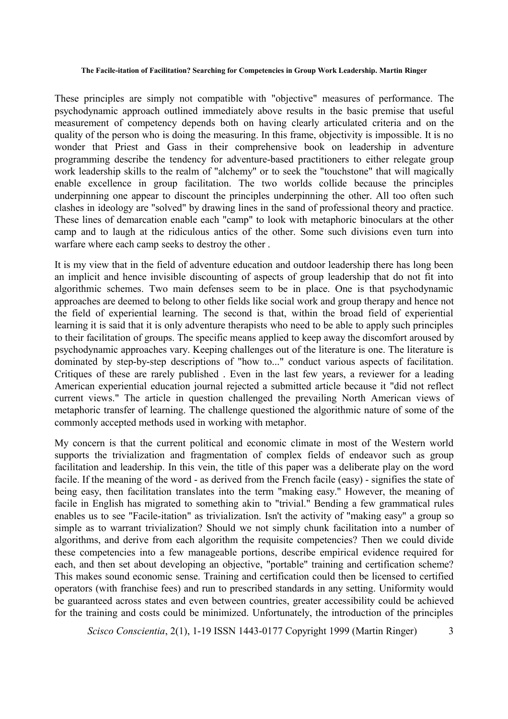These principles are simply not compatible with "objective" measures of performance. The psychodynamic approach outlined immediately above results in the basic premise that useful measurement of competency depends both on having clearly articulated criteria and on the quality of the person who is doing the measuring. In this frame, objectivity is impossible. It is no wonder that Priest and Gass in their comprehensive book on leadership in adventure programming describe the tendency for adventure-based practitioners to either relegate group work leadership skills to the realm of "alchemy" or to seek the "touchstone" that will magically enable excellence in group facilitation. The two worlds collide because the principles underpinning one appear to discount the principles underpinning the other. All too often such clashes in ideology are "solved" by drawing lines in the sand of professional theory and practice. These lines of demarcation enable each "camp" to look with metaphoric binoculars at the other camp and to laugh at the ridiculous antics of the other. Some such divisions even turn into warfare where each camp seeks to destroy the other .

It is my view that in the field of adventure education and outdoor leadership there has long been an implicit and hence invisible discounting of aspects of group leadership that do not fit into algorithmic schemes. Two main defenses seem to be in place. One is that psychodynamic approaches are deemed to belong to other fields like social work and group therapy and hence not the field of experiential learning. The second is that, within the broad field of experiential learning it is said that it is only adventure therapists who need to be able to apply such principles to their facilitation of groups. The specific means applied to keep away the discomfort aroused by psychodynamic approaches vary. Keeping challenges out of the literature is one. The literature is dominated by step-by-step descriptions of "how to..." conduct various aspects of facilitation. Critiques of these are rarely published . Even in the last few years, a reviewer for a leading American experiential education journal rejected a submitted article because it "did not reflect current views." The article in question challenged the prevailing North American views of metaphoric transfer of learning. The challenge questioned the algorithmic nature of some of the commonly accepted methods used in working with metaphor.

My concern is that the current political and economic climate in most of the Western world supports the trivialization and fragmentation of complex fields of endeavor such as group facilitation and leadership. In this vein, the title of this paper was a deliberate play on the word facile. If the meaning of the word - as derived from the French facile (easy) - signifies the state of being easy, then facilitation translates into the term "making easy." However, the meaning of facile in English has migrated to something akin to "trivial." Bending a few grammatical rules enables us to see "Facile-itation" as trivialization. Isn't the activity of "making easy" a group so simple as to warrant trivialization? Should we not simply chunk facilitation into a number of algorithms, and derive from each algorithm the requisite competencies? Then we could divide these competencies into a few manageable portions, describe empirical evidence required for each, and then set about developing an objective, "portable" training and certification scheme? This makes sound economic sense. Training and certification could then be licensed to certified operators (with franchise fees) and run to prescribed standards in any setting. Uniformity would be guaranteed across states and even between countries, greater accessibility could be achieved for the training and costs could be minimized. Unfortunately, the introduction of the principles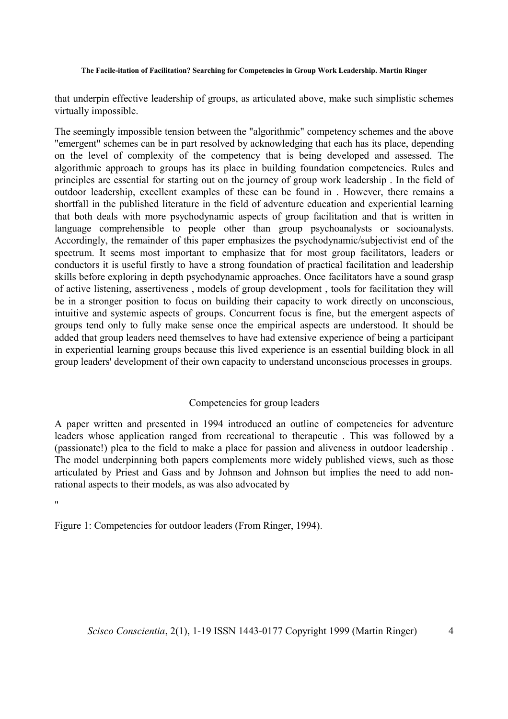that underpin effective leadership of groups, as articulated above, make such simplistic schemes virtually impossible.

The seemingly impossible tension between the "algorithmic" competency schemes and the above "emergent" schemes can be in part resolved by acknowledging that each has its place, depending on the level of complexity of the competency that is being developed and assessed. The algorithmic approach to groups has its place in building foundation competencies. Rules and principles are essential for starting out on the journey of group work leadership . In the field of outdoor leadership, excellent examples of these can be found in . However, there remains a shortfall in the published literature in the field of adventure education and experiential learning that both deals with more psychodynamic aspects of group facilitation and that is written in language comprehensible to people other than group psychoanalysts or socioanalysts. Accordingly, the remainder of this paper emphasizes the psychodynamic/subjectivist end of the spectrum. It seems most important to emphasize that for most group facilitators, leaders or conductors it is useful firstly to have a strong foundation of practical facilitation and leadership skills before exploring in depth psychodynamic approaches. Once facilitators have a sound grasp of active listening, assertiveness , models of group development , tools for facilitation they will be in a stronger position to focus on building their capacity to work directly on unconscious, intuitive and systemic aspects of groups. Concurrent focus is fine, but the emergent aspects of groups tend only to fully make sense once the empirical aspects are understood. It should be added that group leaders need themselves to have had extensive experience of being a participant in experiential learning groups because this lived experience is an essential building block in all group leaders' development of their own capacity to understand unconscious processes in groups.

# Competencies for group leaders

A paper written and presented in 1994 introduced an outline of competencies for adventure leaders whose application ranged from recreational to therapeutic . This was followed by a (passionate!) plea to the field to make a place for passion and aliveness in outdoor leadership . The model underpinning both papers complements more widely published views, such as those articulated by Priest and Gass and by Johnson and Johnson but implies the need to add nonrational aspects to their models, as was also advocated by

 $\mathbf{u}$ 

Figure 1: Competencies for outdoor leaders (From Ringer, 1994).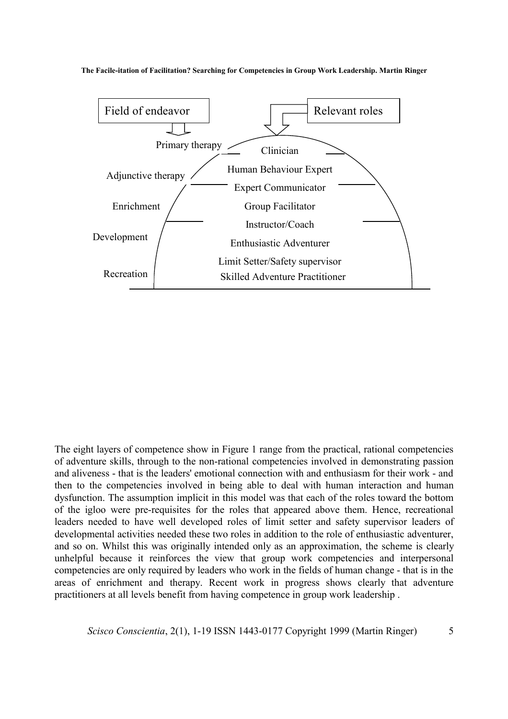

The eight layers of competence show in Figure 1 range from the practical, rational competencies of adventure skills, through to the non-rational competencies involved in demonstrating passion and aliveness - that is the leaders' emotional connection with and enthusiasm for their work - and then to the competencies involved in being able to deal with human interaction and human dysfunction. The assumption implicit in this model was that each of the roles toward the bottom of the igloo were pre-requisites for the roles that appeared above them. Hence, recreational leaders needed to have well developed roles of limit setter and safety supervisor leaders of developmental activities needed these two roles in addition to the role of enthusiastic adventurer, and so on. Whilst this was originally intended only as an approximation, the scheme is clearly unhelpful because it reinforces the view that group work competencies and interpersonal competencies are only required by leaders who work in the fields of human change - that is in the areas of enrichment and therapy. Recent work in progress shows clearly that adventure practitioners at all levels benefit from having competence in group work leadership .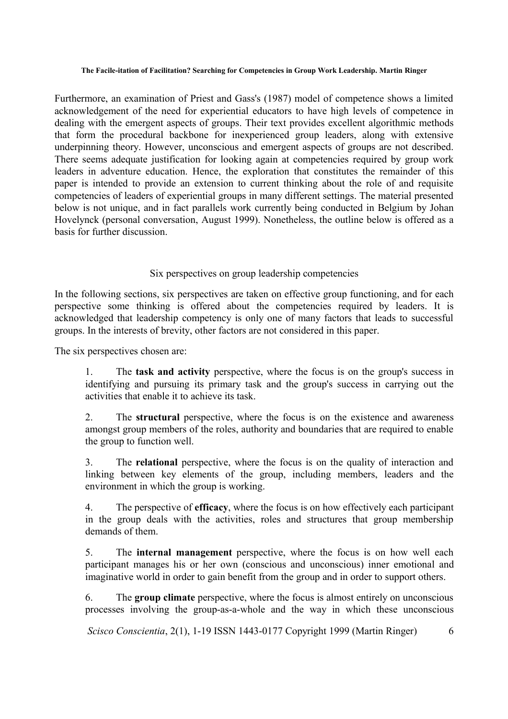Furthermore, an examination of Priest and Gass's (1987) model of competence shows a limited acknowledgement of the need for experiential educators to have high levels of competence in dealing with the emergent aspects of groups. Their text provides excellent algorithmic methods that form the procedural backbone for inexperienced group leaders, along with extensive underpinning theory. However, unconscious and emergent aspects of groups are not described. There seems adequate justification for looking again at competencies required by group work leaders in adventure education. Hence, the exploration that constitutes the remainder of this paper is intended to provide an extension to current thinking about the role of and requisite competencies of leaders of experiential groups in many different settings. The material presented below is not unique, and in fact parallels work currently being conducted in Belgium by Johan Hovelynck (personal conversation, August 1999). Nonetheless, the outline below is offered as a basis for further discussion.

Six perspectives on group leadership competencies

In the following sections, six perspectives are taken on effective group functioning, and for each perspective some thinking is offered about the competencies required by leaders. It is acknowledged that leadership competency is only one of many factors that leads to successful groups. In the interests of brevity, other factors are not considered in this paper.

The six perspectives chosen are:

1. The **task and activity** perspective, where the focus is on the group's success in identifying and pursuing its primary task and the group's success in carrying out the activities that enable it to achieve its task.

2. The **structural** perspective, where the focus is on the existence and awareness amongst group members of the roles, authority and boundaries that are required to enable the group to function well.

3. The **relational** perspective, where the focus is on the quality of interaction and linking between key elements of the group, including members, leaders and the environment in which the group is working.

4. The perspective of **efficacy**, where the focus is on how effectively each participant in the group deals with the activities, roles and structures that group membership demands of them.

5. The **internal management** perspective, where the focus is on how well each participant manages his or her own (conscious and unconscious) inner emotional and imaginative world in order to gain benefit from the group and in order to support others.

6. The **group climate** perspective, where the focus is almost entirely on unconscious processes involving the group-as-a-whole and the way in which these unconscious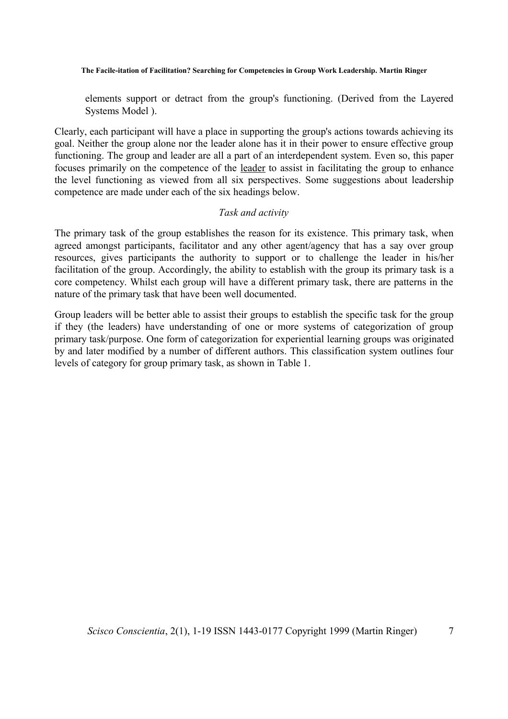elements support or detract from the group's functioning. (Derived from the Layered Systems Model ).

Clearly, each participant will have a place in supporting the group's actions towards achieving its goal. Neither the group alone nor the leader alone has it in their power to ensure effective group functioning. The group and leader are all a part of an interdependent system. Even so, this paper focuses primarily on the competence of the leader to assist in facilitating the group to enhance the level functioning as viewed from all six perspectives. Some suggestions about leadership competence are made under each of the six headings below.

# *Task and activity*

The primary task of the group establishes the reason for its existence. This primary task, when agreed amongst participants, facilitator and any other agent/agency that has a say over group resources, gives participants the authority to support or to challenge the leader in his/her facilitation of the group. Accordingly, the ability to establish with the group its primary task is a core competency. Whilst each group will have a different primary task, there are patterns in the nature of the primary task that have been well documented.

Group leaders will be better able to assist their groups to establish the specific task for the group if they (the leaders) have understanding of one or more systems of categorization of group primary task/purpose. One form of categorization for experiential learning groups was originated by and later modified by a number of different authors. This classification system outlines four levels of category for group primary task, as shown in Table 1.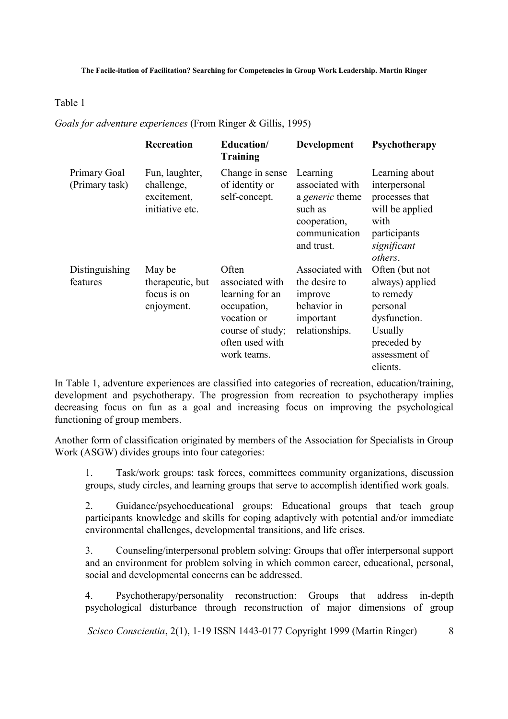### Table 1

*Goals for adventure experiences* (From Ringer & Gillis, 1995)

|                                | <b>Recreation</b>                                              | Education/<br><b>Training</b>                                                                                                   | Development                                                                                                     | Psychotherapy                                                                                                                     |
|--------------------------------|----------------------------------------------------------------|---------------------------------------------------------------------------------------------------------------------------------|-----------------------------------------------------------------------------------------------------------------|-----------------------------------------------------------------------------------------------------------------------------------|
| Primary Goal<br>(Primary task) | Fun, laughter,<br>challenge,<br>excitement,<br>initiative etc. | Change in sense<br>of identity or<br>self-concept.                                                                              | Learning<br>associated with<br>a <i>generic</i> theme<br>such as<br>cooperation,<br>communication<br>and trust. | Learning about<br>interpersonal<br>processes that<br>will be applied<br>with<br>participants<br>significant<br>others.            |
| Distinguishing<br>features     | May be<br>therapeutic, but<br>focus is on<br>enjoyment.        | Often<br>associated with<br>learning for an<br>occupation,<br>vocation or<br>course of study;<br>often used with<br>work teams. | Associated with<br>the desire to<br>improve<br>behavior in<br>important<br>relationships.                       | Often (but not<br>always) applied<br>to remedy<br>personal<br>dysfunction.<br>Usually<br>preceded by<br>assessment of<br>clients. |

In Table 1, adventure experiences are classified into categories of recreation, education/training, development and psychotherapy. The progression from recreation to psychotherapy implies decreasing focus on fun as a goal and increasing focus on improving the psychological functioning of group members.

Another form of classification originated by members of the Association for Specialists in Group Work (ASGW) divides groups into four categories:

1. Task/work groups: task forces, committees community organizations, discussion groups, study circles, and learning groups that serve to accomplish identified work goals.

2. Guidance/psychoeducational groups: Educational groups that teach group participants knowledge and skills for coping adaptively with potential and/or immediate environmental challenges, developmental transitions, and life crises.

3. Counseling/interpersonal problem solving: Groups that offer interpersonal support and an environment for problem solving in which common career, educational, personal, social and developmental concerns can be addressed.

4. Psychotherapy/personality reconstruction: Groups that address in-depth psychological disturbance through reconstruction of major dimensions of group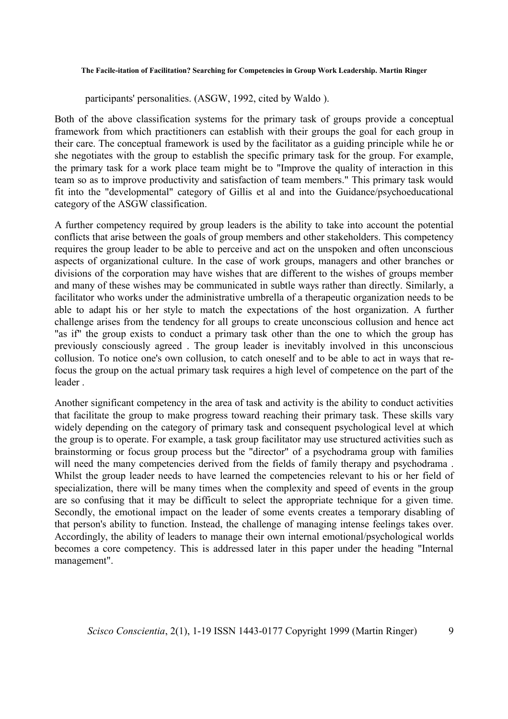participants' personalities. (ASGW, 1992, cited by Waldo ).

Both of the above classification systems for the primary task of groups provide a conceptual framework from which practitioners can establish with their groups the goal for each group in their care. The conceptual framework is used by the facilitator as a guiding principle while he or she negotiates with the group to establish the specific primary task for the group. For example, the primary task for a work place team might be to "Improve the quality of interaction in this team so as to improve productivity and satisfaction of team members." This primary task would fit into the "developmental" category of Gillis et al and into the Guidance/psychoeducational category of the ASGW classification.

A further competency required by group leaders is the ability to take into account the potential conflicts that arise between the goals of group members and other stakeholders. This competency requires the group leader to be able to perceive and act on the unspoken and often unconscious aspects of organizational culture. In the case of work groups, managers and other branches or divisions of the corporation may have wishes that are different to the wishes of groups member and many of these wishes may be communicated in subtle ways rather than directly. Similarly, a facilitator who works under the administrative umbrella of a therapeutic organization needs to be able to adapt his or her style to match the expectations of the host organization. A further challenge arises from the tendency for all groups to create unconscious collusion and hence act "as if" the group exists to conduct a primary task other than the one to which the group has previously consciously agreed . The group leader is inevitably involved in this unconscious collusion. To notice one's own collusion, to catch oneself and to be able to act in ways that refocus the group on the actual primary task requires a high level of competence on the part of the leader .

Another significant competency in the area of task and activity is the ability to conduct activities that facilitate the group to make progress toward reaching their primary task. These skills vary widely depending on the category of primary task and consequent psychological level at which the group is to operate. For example, a task group facilitator may use structured activities such as brainstorming or focus group process but the "director" of a psychodrama group with families will need the many competencies derived from the fields of family therapy and psychodrama. Whilst the group leader needs to have learned the competencies relevant to his or her field of specialization, there will be many times when the complexity and speed of events in the group are so confusing that it may be difficult to select the appropriate technique for a given time. Secondly, the emotional impact on the leader of some events creates a temporary disabling of that person's ability to function. Instead, the challenge of managing intense feelings takes over. Accordingly, the ability of leaders to manage their own internal emotional/psychological worlds becomes a core competency. This is addressed later in this paper under the heading "Internal management".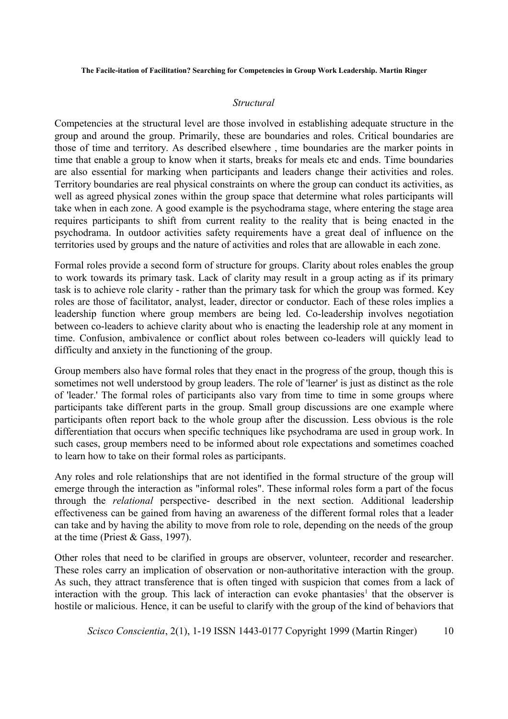## *Structural*

Competencies at the structural level are those involved in establishing adequate structure in the group and around the group. Primarily, these are boundaries and roles. Critical boundaries are those of time and territory. As described elsewhere , time boundaries are the marker points in time that enable a group to know when it starts, breaks for meals etc and ends. Time boundaries are also essential for marking when participants and leaders change their activities and roles. Territory boundaries are real physical constraints on where the group can conduct its activities, as well as agreed physical zones within the group space that determine what roles participants will take when in each zone. A good example is the psychodrama stage, where entering the stage area requires participants to shift from current reality to the reality that is being enacted in the psychodrama. In outdoor activities safety requirements have a great deal of influence on the territories used by groups and the nature of activities and roles that are allowable in each zone.

Formal roles provide a second form of structure for groups. Clarity about roles enables the group to work towards its primary task. Lack of clarity may result in a group acting as if its primary task is to achieve role clarity - rather than the primary task for which the group was formed. Key roles are those of facilitator, analyst, leader, director or conductor. Each of these roles implies a leadership function where group members are being led. Co-leadership involves negotiation between co-leaders to achieve clarity about who is enacting the leadership role at any moment in time. Confusion, ambivalence or conflict about roles between co-leaders will quickly lead to difficulty and anxiety in the functioning of the group.

Group members also have formal roles that they enact in the progress of the group, though this is sometimes not well understood by group leaders. The role of 'learner' is just as distinct as the role of 'leader.' The formal roles of participants also vary from time to time in some groups where participants take different parts in the group. Small group discussions are one example where participants often report back to the whole group after the discussion. Less obvious is the role differentiation that occurs when specific techniques like psychodrama are used in group work. In such cases, group members need to be informed about role expectations and sometimes coached to learn how to take on their formal roles as participants.

Any roles and role relationships that are not identified in the formal structure of the group will emerge through the interaction as "informal roles". These informal roles form a part of the focus through the *relational* perspective- described in the next section. Additional leadership effectiveness can be gained from having an awareness of the different formal roles that a leader can take and by having the ability to move from role to role, depending on the needs of the group at the time (Priest & Gass, 1997).

Other roles that need to be clarified in groups are observer, volunteer, recorder and researcher. These roles carry an implication of observation or non-authoritative interaction with the group. As such, they attract transference that is often tinged with suspicion that comes from a lack of interaction with the group. This lack of interaction can evoke phantasies<sup>1</sup> that the observer is hostile or malicious. Hence, it can be useful to clarify with the group of the kind of behaviors that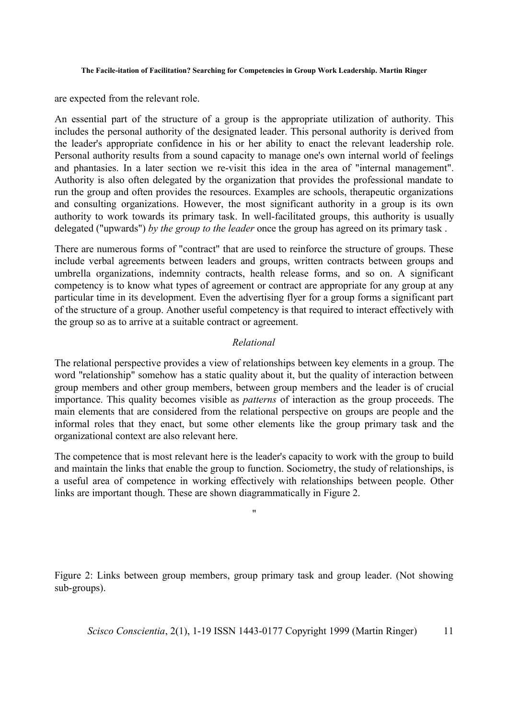are expected from the relevant role.

An essential part of the structure of a group is the appropriate utilization of authority. This includes the personal authority of the designated leader. This personal authority is derived from the leader's appropriate confidence in his or her ability to enact the relevant leadership role. Personal authority results from a sound capacity to manage one's own internal world of feelings and phantasies. In a later section we re-visit this idea in the area of "internal management". Authority is also often delegated by the organization that provides the professional mandate to run the group and often provides the resources. Examples are schools, therapeutic organizations and consulting organizations. However, the most significant authority in a group is its own authority to work towards its primary task. In well-facilitated groups, this authority is usually delegated ("upwards") *by the group to the leader* once the group has agreed on its primary task .

There are numerous forms of "contract" that are used to reinforce the structure of groups. These include verbal agreements between leaders and groups, written contracts between groups and umbrella organizations, indemnity contracts, health release forms, and so on. A significant competency is to know what types of agreement or contract are appropriate for any group at any particular time in its development. Even the advertising flyer for a group forms a significant part of the structure of a group. Another useful competency is that required to interact effectively with the group so as to arrive at a suitable contract or agreement.

### *Relational*

The relational perspective provides a view of relationships between key elements in a group. The word "relationship" somehow has a static quality about it, but the quality of interaction between group members and other group members, between group members and the leader is of crucial importance. This quality becomes visible as *patterns* of interaction as the group proceeds. The main elements that are considered from the relational perspective on groups are people and the informal roles that they enact, but some other elements like the group primary task and the organizational context are also relevant here.

The competence that is most relevant here is the leader's capacity to work with the group to build and maintain the links that enable the group to function. Sociometry, the study of relationships, is a useful area of competence in working effectively with relationships between people. Other links are important though. These are shown diagrammatically in Figure 2.

 $"$ 

Figure 2: Links between group members, group primary task and group leader. (Not showing sub-groups).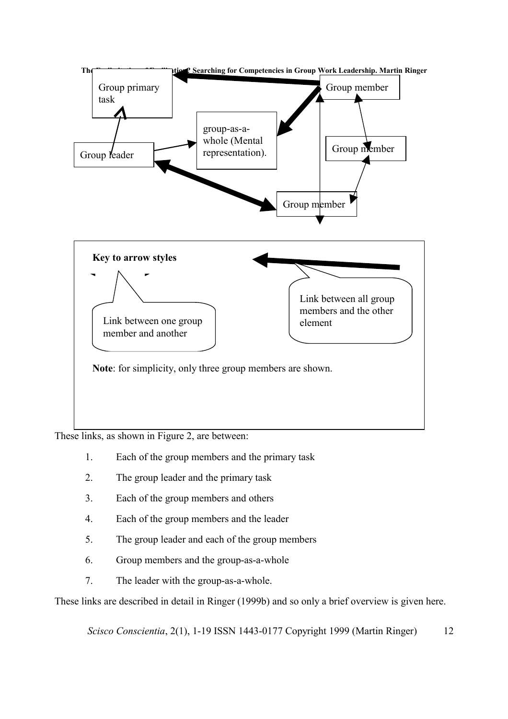

These links, as shown in Figure 2, are between:

- 1. Each of the group members and the primary task
- 2. The group leader and the primary task
- 3. Each of the group members and others
- 4. Each of the group members and the leader
- 5. The group leader and each of the group members
- 6. Group members and the group-as-a-whole
- 7. The leader with the group-as-a-whole.

These links are described in detail in Ringer (1999b) and so only a brief overview is given here.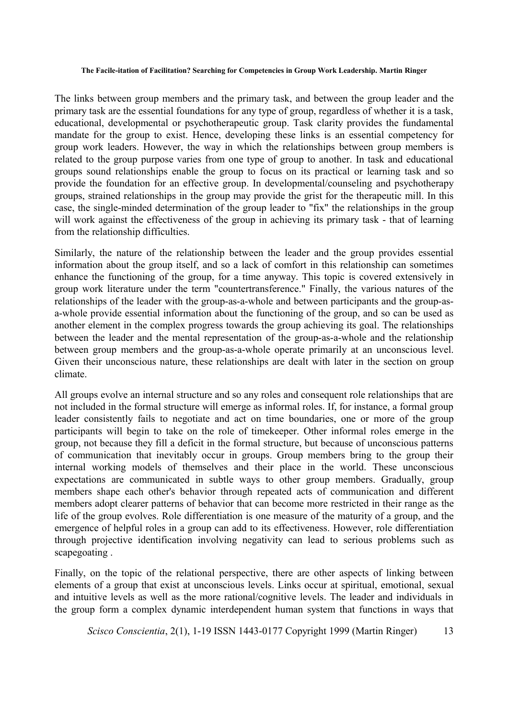The links between group members and the primary task, and between the group leader and the primary task are the essential foundations for any type of group, regardless of whether it is a task, educational, developmental or psychotherapeutic group. Task clarity provides the fundamental mandate for the group to exist. Hence, developing these links is an essential competency for group work leaders. However, the way in which the relationships between group members is related to the group purpose varies from one type of group to another. In task and educational groups sound relationships enable the group to focus on its practical or learning task and so provide the foundation for an effective group. In developmental/counseling and psychotherapy groups, strained relationships in the group may provide the grist for the therapeutic mill. In this case, the single-minded determination of the group leader to "fix" the relationships in the group will work against the effectiveness of the group in achieving its primary task - that of learning from the relationship difficulties.

Similarly, the nature of the relationship between the leader and the group provides essential information about the group itself, and so a lack of comfort in this relationship can sometimes enhance the functioning of the group, for a time anyway. This topic is covered extensively in group work literature under the term "countertransference." Finally, the various natures of the relationships of the leader with the group-as-a-whole and between participants and the group-asa-whole provide essential information about the functioning of the group, and so can be used as another element in the complex progress towards the group achieving its goal. The relationships between the leader and the mental representation of the group-as-a-whole and the relationship between group members and the group-as-a-whole operate primarily at an unconscious level. Given their unconscious nature, these relationships are dealt with later in the section on group climate.

All groups evolve an internal structure and so any roles and consequent role relationships that are not included in the formal structure will emerge as informal roles. If, for instance, a formal group leader consistently fails to negotiate and act on time boundaries, one or more of the group participants will begin to take on the role of timekeeper. Other informal roles emerge in the group, not because they fill a deficit in the formal structure, but because of unconscious patterns of communication that inevitably occur in groups. Group members bring to the group their internal working models of themselves and their place in the world. These unconscious expectations are communicated in subtle ways to other group members. Gradually, group members shape each other's behavior through repeated acts of communication and different members adopt clearer patterns of behavior that can become more restricted in their range as the life of the group evolves. Role differentiation is one measure of the maturity of a group, and the emergence of helpful roles in a group can add to its effectiveness. However, role differentiation through projective identification involving negativity can lead to serious problems such as scapegoating .

Finally, on the topic of the relational perspective, there are other aspects of linking between elements of a group that exist at unconscious levels. Links occur at spiritual, emotional, sexual and intuitive levels as well as the more rational/cognitive levels. The leader and individuals in the group form a complex dynamic interdependent human system that functions in ways that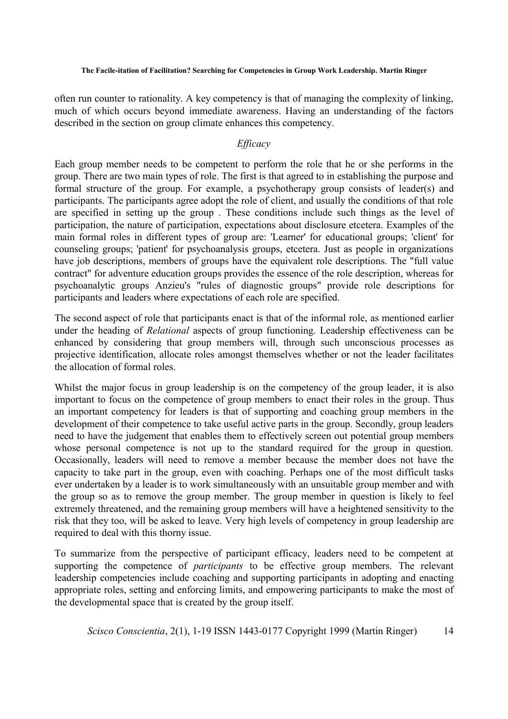often run counter to rationality. A key competency is that of managing the complexity of linking, much of which occurs beyond immediate awareness. Having an understanding of the factors described in the section on group climate enhances this competency.

# *Efficacy*

Each group member needs to be competent to perform the role that he or she performs in the group. There are two main types of role. The first is that agreed to in establishing the purpose and formal structure of the group. For example, a psychotherapy group consists of leader(s) and participants. The participants agree adopt the role of client, and usually the conditions of that role are specified in setting up the group . These conditions include such things as the level of participation, the nature of participation, expectations about disclosure etcetera. Examples of the main formal roles in different types of group are: 'Learner' for educational groups; 'client' for counseling groups; 'patient' for psychoanalysis groups, etcetera. Just as people in organizations have job descriptions, members of groups have the equivalent role descriptions. The "full value contract" for adventure education groups provides the essence of the role description, whereas for psychoanalytic groups Anzieu's "rules of diagnostic groups" provide role descriptions for participants and leaders where expectations of each role are specified.

The second aspect of role that participants enact is that of the informal role, as mentioned earlier under the heading of *Relational* aspects of group functioning. Leadership effectiveness can be enhanced by considering that group members will, through such unconscious processes as projective identification, allocate roles amongst themselves whether or not the leader facilitates the allocation of formal roles.

Whilst the major focus in group leadership is on the competency of the group leader, it is also important to focus on the competence of group members to enact their roles in the group. Thus an important competency for leaders is that of supporting and coaching group members in the development of their competence to take useful active parts in the group. Secondly, group leaders need to have the judgement that enables them to effectively screen out potential group members whose personal competence is not up to the standard required for the group in question. Occasionally, leaders will need to remove a member because the member does not have the capacity to take part in the group, even with coaching. Perhaps one of the most difficult tasks ever undertaken by a leader is to work simultaneously with an unsuitable group member and with the group so as to remove the group member. The group member in question is likely to feel extremely threatened, and the remaining group members will have a heightened sensitivity to the risk that they too, will be asked to leave. Very high levels of competency in group leadership are required to deal with this thorny issue.

To summarize from the perspective of participant efficacy, leaders need to be competent at supporting the competence of *participants* to be effective group members. The relevant leadership competencies include coaching and supporting participants in adopting and enacting appropriate roles, setting and enforcing limits, and empowering participants to make the most of the developmental space that is created by the group itself.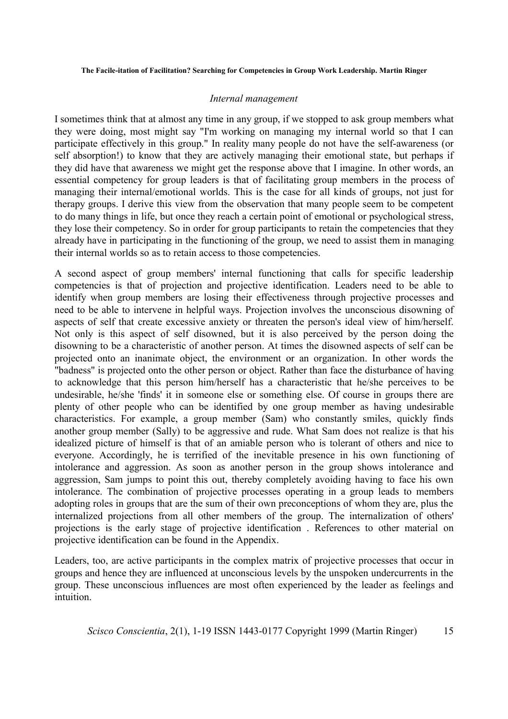### *Internal management*

I sometimes think that at almost any time in any group, if we stopped to ask group members what they were doing, most might say "I'm working on managing my internal world so that I can participate effectively in this group." In reality many people do not have the self-awareness (or self absorption!) to know that they are actively managing their emotional state, but perhaps if they did have that awareness we might get the response above that I imagine. In other words, an essential competency for group leaders is that of facilitating group members in the process of managing their internal/emotional worlds. This is the case for all kinds of groups, not just for therapy groups. I derive this view from the observation that many people seem to be competent to do many things in life, but once they reach a certain point of emotional or psychological stress, they lose their competency. So in order for group participants to retain the competencies that they already have in participating in the functioning of the group, we need to assist them in managing their internal worlds so as to retain access to those competencies.

A second aspect of group members' internal functioning that calls for specific leadership competencies is that of projection and projective identification. Leaders need to be able to identify when group members are losing their effectiveness through projective processes and need to be able to intervene in helpful ways. Projection involves the unconscious disowning of aspects of self that create excessive anxiety or threaten the person's ideal view of him/herself. Not only is this aspect of self disowned, but it is also perceived by the person doing the disowning to be a characteristic of another person. At times the disowned aspects of self can be projected onto an inanimate object, the environment or an organization. In other words the "badness" is projected onto the other person or object. Rather than face the disturbance of having to acknowledge that this person him/herself has a characteristic that he/she perceives to be undesirable, he/she 'finds' it in someone else or something else. Of course in groups there are plenty of other people who can be identified by one group member as having undesirable characteristics. For example, a group member (Sam) who constantly smiles, quickly finds another group member (Sally) to be aggressive and rude. What Sam does not realize is that his idealized picture of himself is that of an amiable person who is tolerant of others and nice to everyone. Accordingly, he is terrified of the inevitable presence in his own functioning of intolerance and aggression. As soon as another person in the group shows intolerance and aggression, Sam jumps to point this out, thereby completely avoiding having to face his own intolerance. The combination of projective processes operating in a group leads to members adopting roles in groups that are the sum of their own preconceptions of whom they are, plus the internalized projections from all other members of the group. The internalization of others' projections is the early stage of projective identification . References to other material on projective identification can be found in the Appendix.

Leaders, too, are active participants in the complex matrix of projective processes that occur in groups and hence they are influenced at unconscious levels by the unspoken undercurrents in the group. These unconscious influences are most often experienced by the leader as feelings and intuition.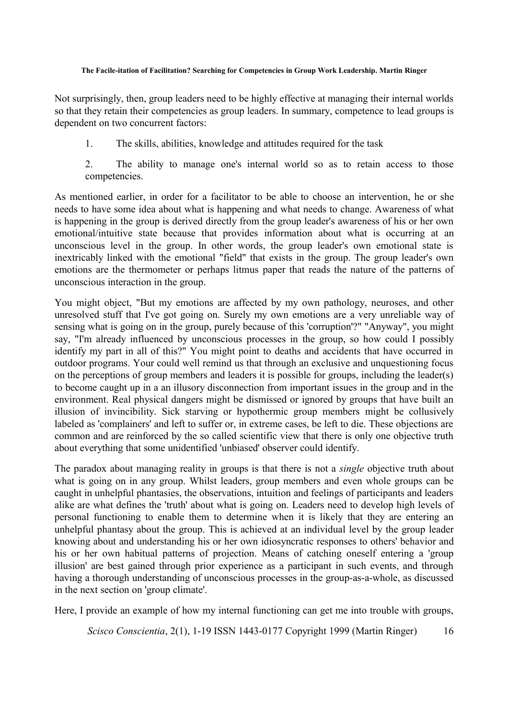Not surprisingly, then, group leaders need to be highly effective at managing their internal worlds so that they retain their competencies as group leaders. In summary, competence to lead groups is dependent on two concurrent factors:

- 1. The skills, abilities, knowledge and attitudes required for the task
- 2. The ability to manage one's internal world so as to retain access to those competencies.

As mentioned earlier, in order for a facilitator to be able to choose an intervention, he or she needs to have some idea about what is happening and what needs to change. Awareness of what is happening in the group is derived directly from the group leader's awareness of his or her own emotional/intuitive state because that provides information about what is occurring at an unconscious level in the group. In other words, the group leader's own emotional state is inextricably linked with the emotional "field" that exists in the group. The group leader's own emotions are the thermometer or perhaps litmus paper that reads the nature of the patterns of unconscious interaction in the group.

You might object, "But my emotions are affected by my own pathology, neuroses, and other unresolved stuff that I've got going on. Surely my own emotions are a very unreliable way of sensing what is going on in the group, purely because of this 'corruption'?" "Anyway", you might say, "I'm already influenced by unconscious processes in the group, so how could I possibly identify my part in all of this?" You might point to deaths and accidents that have occurred in outdoor programs. Your could well remind us that through an exclusive and unquestioning focus on the perceptions of group members and leaders it is possible for groups, including the leader(s) to become caught up in a an illusory disconnection from important issues in the group and in the environment. Real physical dangers might be dismissed or ignored by groups that have built an illusion of invincibility. Sick starving or hypothermic group members might be collusively labeled as 'complainers' and left to suffer or, in extreme cases, be left to die. These objections are common and are reinforced by the so called scientific view that there is only one objective truth about everything that some unidentified 'unbiased' observer could identify.

The paradox about managing reality in groups is that there is not a *single* objective truth about what is going on in any group. Whilst leaders, group members and even whole groups can be caught in unhelpful phantasies, the observations, intuition and feelings of participants and leaders alike are what defines the 'truth' about what is going on. Leaders need to develop high levels of personal functioning to enable them to determine when it is likely that they are entering an unhelpful phantasy about the group. This is achieved at an individual level by the group leader knowing about and understanding his or her own idiosyncratic responses to others' behavior and his or her own habitual patterns of projection. Means of catching oneself entering a 'group illusion' are best gained through prior experience as a participant in such events, and through having a thorough understanding of unconscious processes in the group-as-a-whole, as discussed in the next section on 'group climate'.

Here, I provide an example of how my internal functioning can get me into trouble with groups,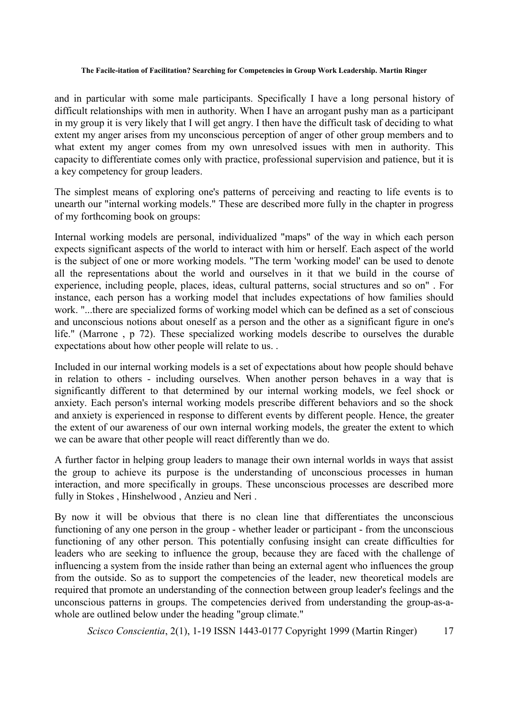and in particular with some male participants. Specifically I have a long personal history of difficult relationships with men in authority. When I have an arrogant pushy man as a participant in my group it is very likely that I will get angry. I then have the difficult task of deciding to what extent my anger arises from my unconscious perception of anger of other group members and to what extent my anger comes from my own unresolved issues with men in authority. This capacity to differentiate comes only with practice, professional supervision and patience, but it is a key competency for group leaders.

The simplest means of exploring one's patterns of perceiving and reacting to life events is to unearth our "internal working models." These are described more fully in the chapter in progress of my forthcoming book on groups:

Internal working models are personal, individualized "maps" of the way in which each person expects significant aspects of the world to interact with him or herself. Each aspect of the world is the subject of one or more working models. "The term 'working model' can be used to denote all the representations about the world and ourselves in it that we build in the course of experience, including people, places, ideas, cultural patterns, social structures and so on" . For instance, each person has a working model that includes expectations of how families should work. "...there are specialized forms of working model which can be defined as a set of conscious and unconscious notions about oneself as a person and the other as a significant figure in one's life." (Marrone , p 72). These specialized working models describe to ourselves the durable expectations about how other people will relate to us. .

Included in our internal working models is a set of expectations about how people should behave in relation to others - including ourselves. When another person behaves in a way that is significantly different to that determined by our internal working models, we feel shock or anxiety. Each person's internal working models prescribe different behaviors and so the shock and anxiety is experienced in response to different events by different people. Hence, the greater the extent of our awareness of our own internal working models, the greater the extent to which we can be aware that other people will react differently than we do.

A further factor in helping group leaders to manage their own internal worlds in ways that assist the group to achieve its purpose is the understanding of unconscious processes in human interaction, and more specifically in groups. These unconscious processes are described more fully in Stokes , Hinshelwood , Anzieu and Neri .

By now it will be obvious that there is no clean line that differentiates the unconscious functioning of any one person in the group - whether leader or participant - from the unconscious functioning of any other person. This potentially confusing insight can create difficulties for leaders who are seeking to influence the group, because they are faced with the challenge of influencing a system from the inside rather than being an external agent who influences the group from the outside. So as to support the competencies of the leader, new theoretical models are required that promote an understanding of the connection between group leader's feelings and the unconscious patterns in groups. The competencies derived from understanding the group-as-awhole are outlined below under the heading "group climate."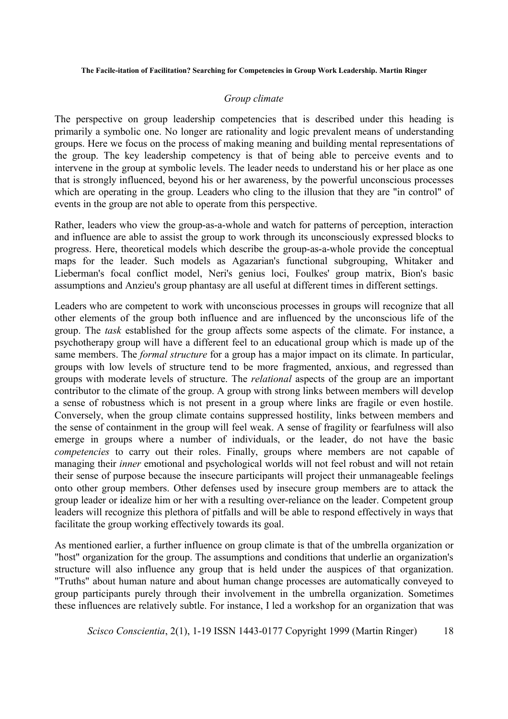# *Group climate*

The perspective on group leadership competencies that is described under this heading is primarily a symbolic one. No longer are rationality and logic prevalent means of understanding groups. Here we focus on the process of making meaning and building mental representations of the group. The key leadership competency is that of being able to perceive events and to intervene in the group at symbolic levels. The leader needs to understand his or her place as one that is strongly influenced, beyond his or her awareness, by the powerful unconscious processes which are operating in the group. Leaders who cling to the illusion that they are "in control" of events in the group are not able to operate from this perspective.

Rather, leaders who view the group-as-a-whole and watch for patterns of perception, interaction and influence are able to assist the group to work through its unconsciously expressed blocks to progress. Here, theoretical models which describe the group-as-a-whole provide the conceptual maps for the leader. Such models as Agazarian's functional subgrouping, Whitaker and Lieberman's focal conflict model, Neri's genius loci, Foulkes' group matrix, Bion's basic assumptions and Anzieu's group phantasy are all useful at different times in different settings.

Leaders who are competent to work with unconscious processes in groups will recognize that all other elements of the group both influence and are influenced by the unconscious life of the group. The *task* established for the group affects some aspects of the climate. For instance, a psychotherapy group will have a different feel to an educational group which is made up of the same members. The *formal structure* for a group has a major impact on its climate. In particular, groups with low levels of structure tend to be more fragmented, anxious, and regressed than groups with moderate levels of structure. The *relational* aspects of the group are an important contributor to the climate of the group. A group with strong links between members will develop a sense of robustness which is not present in a group where links are fragile or even hostile. Conversely, when the group climate contains suppressed hostility, links between members and the sense of containment in the group will feel weak. A sense of fragility or fearfulness will also emerge in groups where a number of individuals, or the leader, do not have the basic *competencies* to carry out their roles. Finally, groups where members are not capable of managing their *inner* emotional and psychological worlds will not feel robust and will not retain their sense of purpose because the insecure participants will project their unmanageable feelings onto other group members. Other defenses used by insecure group members are to attack the group leader or idealize him or her with a resulting over-reliance on the leader. Competent group leaders will recognize this plethora of pitfalls and will be able to respond effectively in ways that facilitate the group working effectively towards its goal.

As mentioned earlier, a further influence on group climate is that of the umbrella organization or "host" organization for the group. The assumptions and conditions that underlie an organization's structure will also influence any group that is held under the auspices of that organization. "Truths" about human nature and about human change processes are automatically conveyed to group participants purely through their involvement in the umbrella organization. Sometimes these influences are relatively subtle. For instance, I led a workshop for an organization that was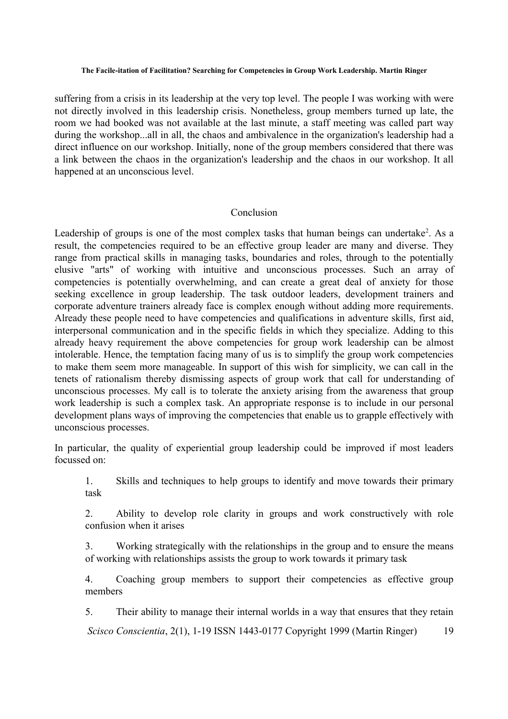suffering from a crisis in its leadership at the very top level. The people I was working with were not directly involved in this leadership crisis. Nonetheless, group members turned up late, the room we had booked was not available at the last minute, a staff meeting was called part way during the workshop...all in all, the chaos and ambivalence in the organization's leadership had a direct influence on our workshop. Initially, none of the group members considered that there was a link between the chaos in the organization's leadership and the chaos in our workshop. It all happened at an unconscious level.

### Conclusion

Leadership of groups is one of the most complex tasks that human beings can undertake<sup>2</sup>. As a result, the competencies required to be an effective group leader are many and diverse. They range from practical skills in managing tasks, boundaries and roles, through to the potentially elusive "arts" of working with intuitive and unconscious processes. Such an array of competencies is potentially overwhelming, and can create a great deal of anxiety for those seeking excellence in group leadership. The task outdoor leaders, development trainers and corporate adventure trainers already face is complex enough without adding more requirements. Already these people need to have competencies and qualifications in adventure skills, first aid, interpersonal communication and in the specific fields in which they specialize. Adding to this already heavy requirement the above competencies for group work leadership can be almost intolerable. Hence, the temptation facing many of us is to simplify the group work competencies to make them seem more manageable. In support of this wish for simplicity, we can call in the tenets of rationalism thereby dismissing aspects of group work that call for understanding of unconscious processes. My call is to tolerate the anxiety arising from the awareness that group work leadership is such a complex task. An appropriate response is to include in our personal development plans ways of improving the competencies that enable us to grapple effectively with unconscious processes.

In particular, the quality of experiential group leadership could be improved if most leaders focussed on:

1. Skills and techniques to help groups to identify and move towards their primary task

2. Ability to develop role clarity in groups and work constructively with role confusion when it arises

3. Working strategically with the relationships in the group and to ensure the means of working with relationships assists the group to work towards it primary task

4. Coaching group members to support their competencies as effective group members

5. Their ability to manage their internal worlds in a way that ensures that they retain *Scisco Conscientia*, 2(1), 1-19 ISSN 1443-0177 Copyright 1999 (Martin Ringer) 19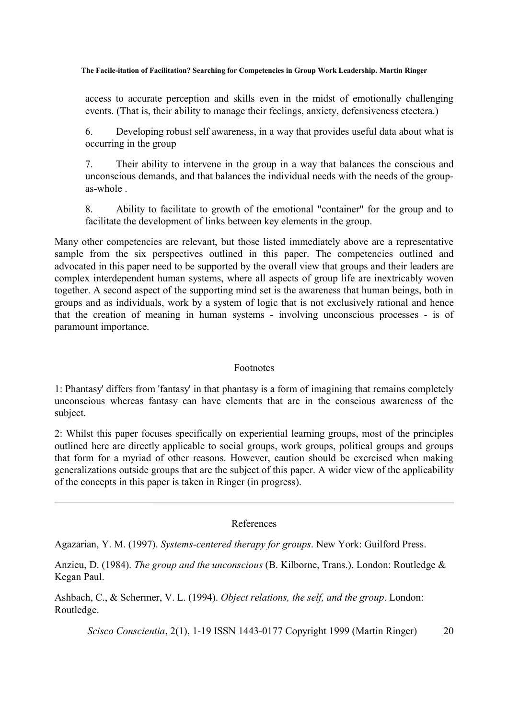access to accurate perception and skills even in the midst of emotionally challenging events. (That is, their ability to manage their feelings, anxiety, defensiveness etcetera.)

6. Developing robust self awareness, in a way that provides useful data about what is occurring in the group

7. Their ability to intervene in the group in a way that balances the conscious and unconscious demands, and that balances the individual needs with the needs of the groupas-whole .

8. Ability to facilitate to growth of the emotional "container" for the group and to facilitate the development of links between key elements in the group.

Many other competencies are relevant, but those listed immediately above are a representative sample from the six perspectives outlined in this paper. The competencies outlined and advocated in this paper need to be supported by the overall view that groups and their leaders are complex interdependent human systems, where all aspects of group life are inextricably woven together. A second aspect of the supporting mind set is the awareness that human beings, both in groups and as individuals, work by a system of logic that is not exclusively rational and hence that the creation of meaning in human systems - involving unconscious processes - is of paramount importance.

### Footnotes

1: Phantasy' differs from 'fantasy' in that phantasy is a form of imagining that remains completely unconscious whereas fantasy can have elements that are in the conscious awareness of the subject.

2: Whilst this paper focuses specifically on experiential learning groups, most of the principles outlined here are directly applicable to social groups, work groups, political groups and groups that form for a myriad of other reasons. However, caution should be exercised when making generalizations outside groups that are the subject of this paper. A wider view of the applicability of the concepts in this paper is taken in Ringer (in progress).

# References

Agazarian, Y. M. (1997). *Systems-centered therapy for groups*. New York: Guilford Press.

Anzieu, D. (1984). *The group and the unconscious* (B. Kilborne, Trans.). London: Routledge & Kegan Paul.

Ashbach, C., & Schermer, V. L. (1994). *Object relations, the self, and the group*. London: Routledge.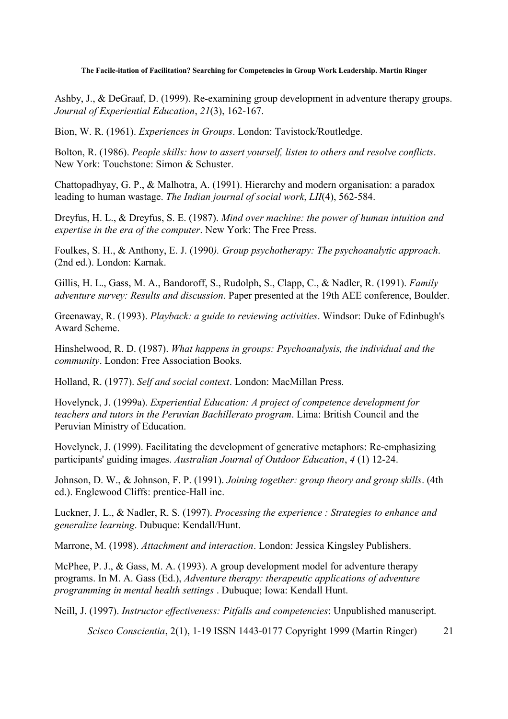Ashby, J., & DeGraaf, D. (1999). Re-examining group development in adventure therapy groups. *Journal of Experiential Education*, *21*(3), 162-167.

Bion, W. R. (1961). *Experiences in Groups*. London: Tavistock/Routledge.

Bolton, R. (1986). *People skills: how to assert yourself, listen to others and resolve conflicts*. New York: Touchstone: Simon & Schuster.

Chattopadhyay, G. P., & Malhotra, A. (1991). Hierarchy and modern organisation: a paradox leading to human wastage. *The Indian journal of social work*, *LII*(4), 562-584.

Dreyfus, H. L., & Dreyfus, S. E. (1987). *Mind over machine: the power of human intuition and expertise in the era of the computer*. New York: The Free Press.

Foulkes, S. H., & Anthony, E. J. (1990*). Group psychotherapy: The psychoanalytic approach*. (2nd ed.). London: Karnak.

Gillis, H. L., Gass, M. A., Bandoroff, S., Rudolph, S., Clapp, C., & Nadler, R. (1991). *Family adventure survey: Results and discussion*. Paper presented at the 19th AEE conference, Boulder.

Greenaway, R. (1993). *Playback: a guide to reviewing activities*. Windsor: Duke of Edinbugh's Award Scheme.

Hinshelwood, R. D. (1987). *What happens in groups: Psychoanalysis, the individual and the community*. London: Free Association Books.

Holland, R. (1977). *Self and social context*. London: MacMillan Press.

Hovelynck, J. (1999a). *Experiential Education: A project of competence development for teachers and tutors in the Peruvian Bachillerato program*. Lima: British Council and the Peruvian Ministry of Education.

Hovelynck, J. (1999). Facilitating the development of generative metaphors: Re-emphasizing participants' guiding images. *Australian Journal of Outdoor Education*, *4* (1) 12-24.

Johnson, D. W., & Johnson, F. P. (1991). *Joining together: group theory and group skills*. (4th ed.). Englewood Cliffs: prentice-Hall inc.

Luckner, J. L., & Nadler, R. S. (1997). *Processing the experience : Strategies to enhance and generalize learning*. Dubuque: Kendall/Hunt.

Marrone, M. (1998). *Attachment and interaction*. London: Jessica Kingsley Publishers.

McPhee, P. J., & Gass, M. A. (1993). A group development model for adventure therapy programs. In M. A. Gass (Ed.), *Adventure therapy: therapeutic applications of adventure programming in mental health settings* . Dubuque; Iowa: Kendall Hunt.

Neill, J. (1997). *Instructor effectiveness: Pitfalls and competencies*: Unpublished manuscript.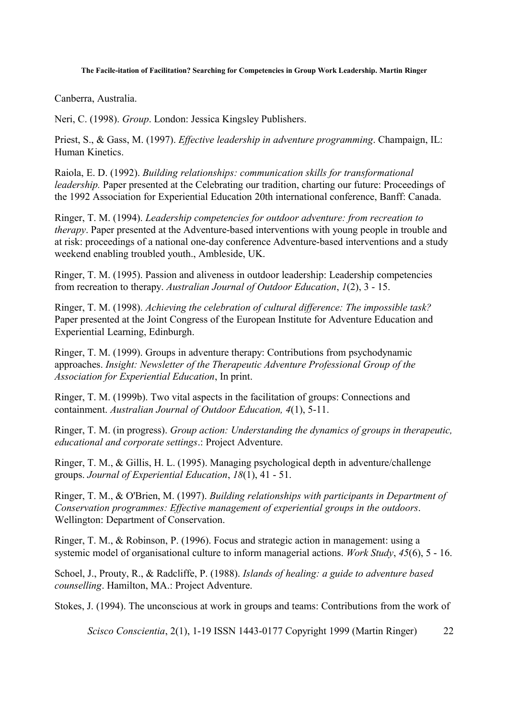Canberra, Australia.

Neri, C. (1998). *Group*. London: Jessica Kingsley Publishers.

Priest, S., & Gass, M. (1997). *Effective leadership in adventure programming*. Champaign, IL: Human Kinetics.

Raiola, E. D. (1992). *Building relationships: communication skills for transformational leadership.* Paper presented at the Celebrating our tradition, charting our future: Proceedings of the 1992 Association for Experiential Education 20th international conference, Banff: Canada.

Ringer, T. M. (1994). *Leadership competencies for outdoor adventure: from recreation to therapy*. Paper presented at the Adventure-based interventions with young people in trouble and at risk: proceedings of a national one-day conference Adventure-based interventions and a study weekend enabling troubled youth., Ambleside, UK.

Ringer, T. M. (1995). Passion and aliveness in outdoor leadership: Leadership competencies from recreation to therapy. *Australian Journal of Outdoor Education*, *1*(2), 3 - 15.

Ringer, T. M. (1998). *Achieving the celebration of cultural difference: The impossible task?* Paper presented at the Joint Congress of the European Institute for Adventure Education and Experiential Learning, Edinburgh.

Ringer, T. M. (1999). Groups in adventure therapy: Contributions from psychodynamic approaches. *Insight: Newsletter of the Therapeutic Adventure Professional Group of the Association for Experiential Education*, In print.

Ringer, T. M. (1999b). Two vital aspects in the facilitation of groups: Connections and containment. *Australian Journal of Outdoor Education, 4*(1), 5-11.

Ringer, T. M. (in progress). *Group action: Understanding the dynamics of groups in therapeutic, educational and corporate settings*.: Project Adventure.

Ringer, T. M., & Gillis, H. L. (1995). Managing psychological depth in adventure/challenge groups. *Journal of Experiential Education*, *18*(1), 41 - 51.

Ringer, T. M., & O'Brien, M. (1997). *Building relationships with participants in Department of Conservation programmes: Effective management of experiential groups in the outdoors*. Wellington: Department of Conservation.

Ringer, T. M., & Robinson, P. (1996). Focus and strategic action in management: using a systemic model of organisational culture to inform managerial actions. *Work Study*, *45*(6), 5 - 16.

Schoel, J., Prouty, R., & Radcliffe, P. (1988). *Islands of healing: a guide to adventure based counselling*. Hamilton, MA.: Project Adventure.

Stokes, J. (1994). The unconscious at work in groups and teams: Contributions from the work of